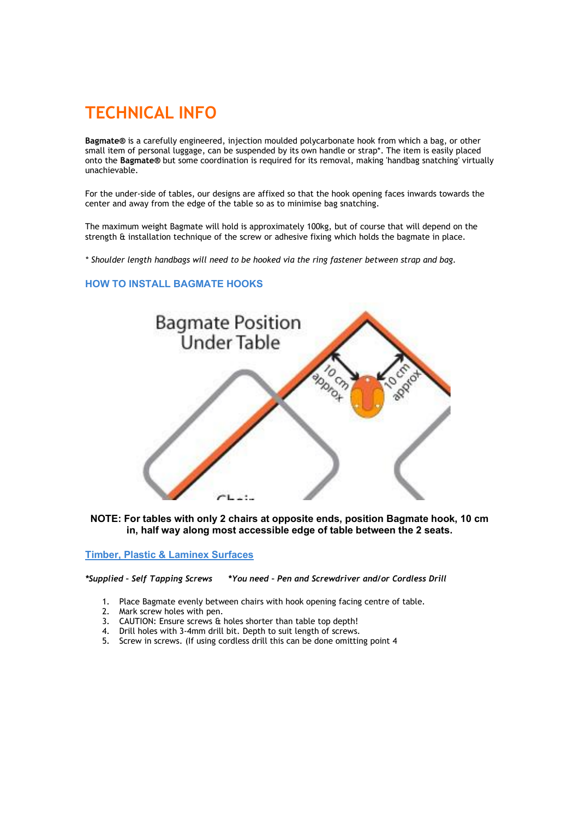# TECHNICAL INFO

Bagmate® is a carefully engineered, injection moulded polycarbonate hook from which a bag, or other small item of personal luggage, can be suspended by its own handle or strap\*. The item is easily placed onto the Bagmate® but some coordination is required for its removal, making 'handbag snatching' virtually unachievable.

For the under-side of tables, our designs are affixed so that the hook opening faces inwards towards the center and away from the edge of the table so as to minimise bag snatching.

The maximum weight Bagmate will hold is approximately 100kg, but of course that will depend on the strength & installation technique of the screw or adhesive fixing which holds the bagmate in place.

\* Shoulder length handbags will need to be hooked via the ring fastener between strap and bag.

## HOW TO INSTALL BAGMATE HOOKS



NOTE: For tables with only 2 chairs at opposite ends, position Bagmate hook, 10 cm in, half way along most accessible edge of table between the 2 seats.

Timber, Plastic & Laminex Surfaces

\*Supplied – Self Tapping Screws \*You need – Pen and Screwdriver and/or Cordless Drill

- 1. Place Bagmate evenly between chairs with hook opening facing centre of table.
- 2. Mark screw holes with pen.
- 3. CAUTION: Ensure screws & holes shorter than table top depth!
- 4. Drill holes with 3-4mm drill bit. Depth to suit length of screws.
- 5. Screw in screws. (If using cordless drill this can be done omitting point 4